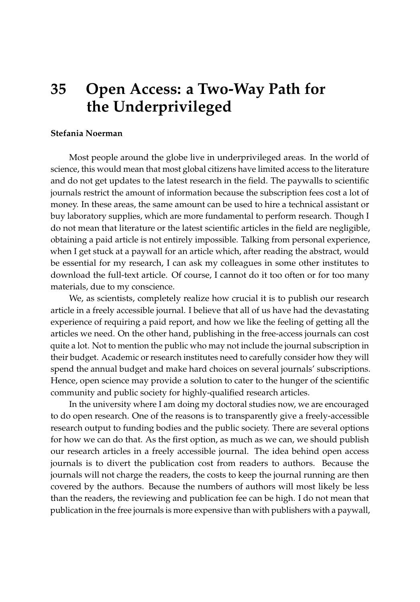## **35 Open Access: a Two-Way Path for the Underprivileged**

## **Stefania Noerman**

Most people around the globe live in underprivileged areas. In the world of science, this would mean that most global citizens have limited access to the literature and do not get updates to the latest research in the field. The paywalls to scientific journals restrict the amount of information because the subscription fees cost a lot of money. In these areas, the same amount can be used to hire a technical assistant or buy laboratory supplies, which are more fundamental to perform research. Though I do not mean that literature or the latest scientific articles in the field are negligible, obtaining a paid article is not entirely impossible. Talking from personal experience, when I get stuck at a paywall for an article which, after reading the abstract, would be essential for my research, I can ask my colleagues in some other institutes to download the full-text article. Of course, I cannot do it too often or for too many materials, due to my conscience.

We, as scientists, completely realize how crucial it is to publish our research article in a freely accessible journal. I believe that all of us have had the devastating experience of requiring a paid report, and how we like the feeling of getting all the articles we need. On the other hand, publishing in the free-access journals can cost quite a lot. Not to mention the public who may not include the journal subscription in their budget. Academic or research institutes need to carefully consider how they will spend the annual budget and make hard choices on several journals' subscriptions. Hence, open science may provide a solution to cater to the hunger of the scientific community and public society for highly-qualified research articles.

In the university where I am doing my doctoral studies now, we are encouraged to do open research. One of the reasons is to transparently give a freely-accessible research output to funding bodies and the public society. There are several options for how we can do that. As the first option, as much as we can, we should publish our research articles in a freely accessible journal. The idea behind open access journals is to divert the publication cost from readers to authors. Because the journals will not charge the readers, the costs to keep the journal running are then covered by the authors. Because the numbers of authors will most likely be less than the readers, the reviewing and publication fee can be high. I do not mean that publication in the free journals is more expensive than with publishers with a paywall,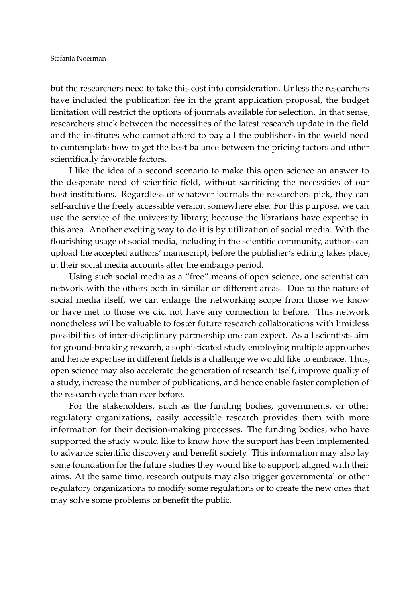but the researchers need to take this cost into consideration. Unless the researchers have included the publication fee in the grant application proposal, the budget limitation will restrict the options of journals available for selection. In that sense, researchers stuck between the necessities of the latest research update in the field and the institutes who cannot afford to pay all the publishers in the world need to contemplate how to get the best balance between the pricing factors and other scientifically favorable factors.

I like the idea of a second scenario to make this open science an answer to the desperate need of scientific field, without sacrificing the necessities of our host institutions. Regardless of whatever journals the researchers pick, they can self-archive the freely accessible version somewhere else. For this purpose, we can use the service of the university library, because the librarians have expertise in this area. Another exciting way to do it is by utilization of social media. With the flourishing usage of social media, including in the scientific community, authors can upload the accepted authors' manuscript, before the publisher's editing takes place, in their social media accounts after the embargo period.

Using such social media as a "free" means of open science, one scientist can network with the others both in similar or different areas. Due to the nature of social media itself, we can enlarge the networking scope from those we know or have met to those we did not have any connection to before. This network nonetheless will be valuable to foster future research collaborations with limitless possibilities of inter-disciplinary partnership one can expect. As all scientists aim for ground-breaking research, a sophisticated study employing multiple approaches and hence expertise in different fields is a challenge we would like to embrace. Thus, open science may also accelerate the generation of research itself, improve quality of a study, increase the number of publications, and hence enable faster completion of the research cycle than ever before.

For the stakeholders, such as the funding bodies, governments, or other regulatory organizations, easily accessible research provides them with more information for their decision-making processes. The funding bodies, who have supported the study would like to know how the support has been implemented to advance scientific discovery and benefit society. This information may also lay some foundation for the future studies they would like to support, aligned with their aims. At the same time, research outputs may also trigger governmental or other regulatory organizations to modify some regulations or to create the new ones that may solve some problems or benefit the public.